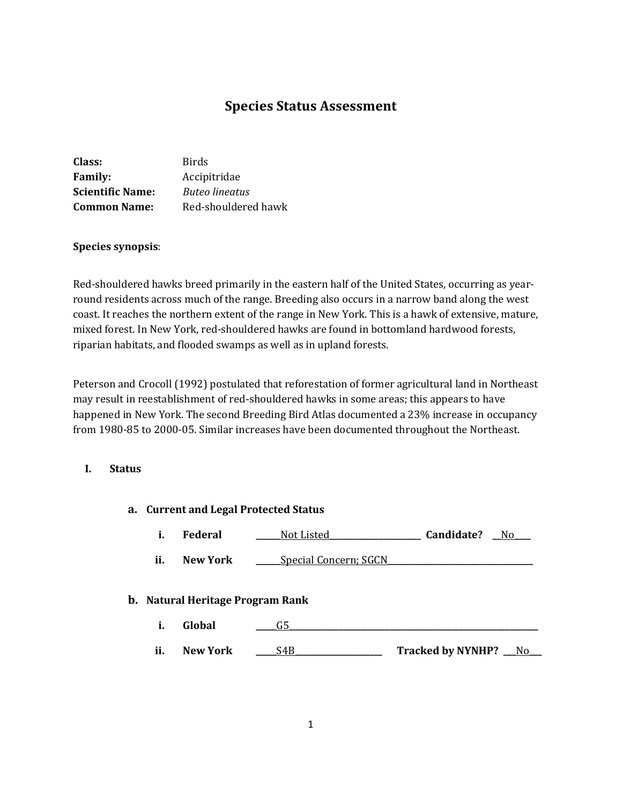# **Species Status Assessment**

| Class:                  | <b>Birds</b>          |
|-------------------------|-----------------------|
| <b>Family:</b>          | Accipitridae          |
| <b>Scientific Name:</b> | <b>Buteo lineatus</b> |
| <b>Common Name:</b>     | Red-shouldered hawk   |

## **Species synopsis**:

Red-shouldered hawks breed primarily in the eastern half of the United States, occurring as yearround residents across much of the range. Breeding also occurs in a narrow band along the west coast. It reaches the northern extent of the range in New York. This is a hawk of extensive, mature, mixed forest. In New York, red-shouldered hawks are found in bottomland hardwood forests, riparian habitats, and flooded swamps as well as in upland forests.

Peterson and Crocoll (1992) postulated that reforestation of former agricultural land in Northeast may result in reestablishment of red-shouldered hawks in some areas; this appears to have happened in New York. The second Breeding Bird Atlas documented a 23% increase in occupancy from 1980-85 to 2000-05. Similar increases have been documented throughout the Northeast.

## **I. Status**

| a. Current and Legal Protected Status |                                         |                              |                         |  |
|---------------------------------------|-----------------------------------------|------------------------------|-------------------------|--|
| i.                                    | <b>Federal</b>                          | Not Listed                   | Candidate? No           |  |
| ii.                                   | New York                                | <b>Special Concern; SGCN</b> |                         |  |
|                                       | <b>b.</b> Natural Heritage Program Rank |                              |                         |  |
| i.                                    | Global                                  | G5                           |                         |  |
| ii.                                   | <b>New York</b>                         | S4B                          | Tracked by NYNHP? __ No |  |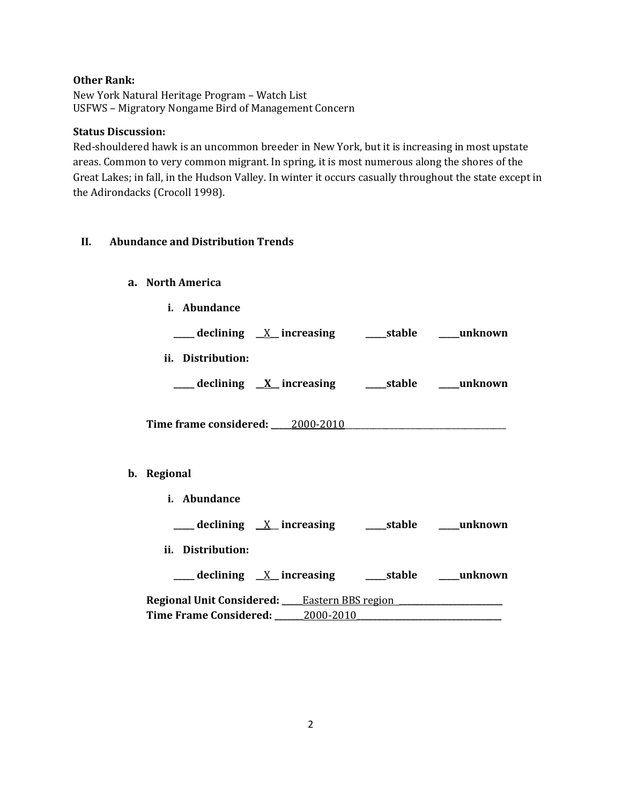# **Other Rank:**

New York Natural Heritage Program – Watch List USFWS – Migratory Nongame Bird of Management Concern

# **Status Discussion:**

Red-shouldered hawk is an uncommon breeder in New York, but it is increasing in most upstate areas. Common to very common migrant. In spring, it is most numerous along the shores of the Great Lakes; in fall, in the Hudson Valley. In winter it occurs casually throughout the state except in the Adirondacks (Crocoll 1998).

## **II. Abundance and Distribution Trends**

**a. North America**

**b**.

**i. Abundance**

| ____ declining <u>X</u> _increasing _____stable ____unknown |  |
|-------------------------------------------------------------|--|
| ii. Distribution:                                           |  |
| ___ declining <u>X</u> increasing ____ stable ____ unknown  |  |
| Time frame considered: 2000-2010                            |  |
|                                                             |  |
| Regional                                                    |  |
| <i>i.</i> Abundance                                         |  |
|                                                             |  |
| ii. Distribution:                                           |  |
|                                                             |  |
| <b>Regional Unit Considered:</b> Eastern BBS region         |  |

**Time Frame Considered: \_\_\_\_\_\_\_**2000-2010**\_\_\_\_\_\_\_\_\_\_\_\_\_\_\_\_\_\_\_\_\_\_\_\_\_\_\_\_\_\_\_\_\_\_\_**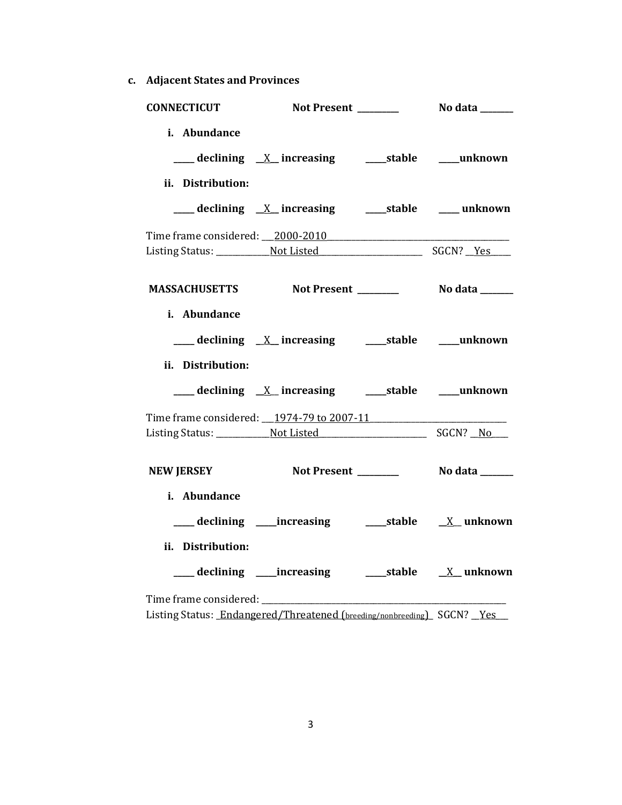**c. Adjacent States and Provinces**

| <b>CONNECTICUT</b>                                                     |                                                           |  |
|------------------------------------------------------------------------|-----------------------------------------------------------|--|
| i. Abundance                                                           |                                                           |  |
| ii. Distribution:                                                      |                                                           |  |
| Time frame considered: 2000-2010                                       |                                                           |  |
|                                                                        | MASSACHUSETTS Not Present ________ No data ______         |  |
| i. Abundance<br>ii. Distribution:                                      |                                                           |  |
|                                                                        |                                                           |  |
| Time frame considered: 1974-79 to 2007-11                              |                                                           |  |
| <b>NEW JERSEY</b>                                                      | <b>Not Present ___________    No data _______</b>         |  |
| i. Abundance                                                           |                                                           |  |
| ii. Distribution:                                                      | ___ declining ____increasing ______stable ___ X__ unknown |  |
| Listing Status: Endangered/Threatened (breeding/nonbreeding) SGCN? Yes |                                                           |  |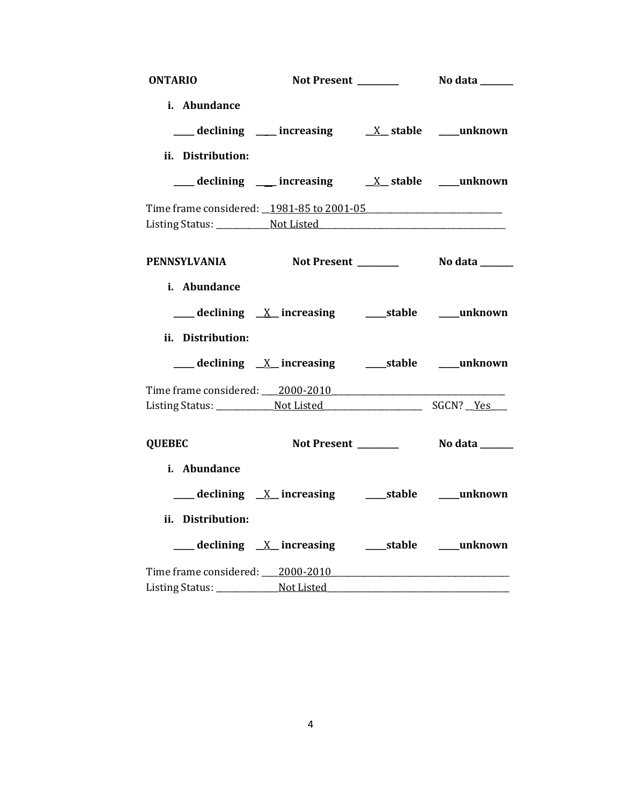| <b>ONTARIO</b>    | Not Present _______                                                                         | No data _______ |
|-------------------|---------------------------------------------------------------------------------------------|-----------------|
| i. Abundance      |                                                                                             |                 |
|                   | $\frac{1}{2}$ declining $\frac{1}{2}$ increasing $\frac{1}{2}$ stable $\frac{1}{2}$ unknown |                 |
| ii. Distribution: |                                                                                             |                 |
|                   |                                                                                             |                 |
|                   |                                                                                             |                 |
|                   |                                                                                             |                 |
|                   |                                                                                             |                 |
|                   | PENNSYLVANIA Not Present _________ No data ______                                           |                 |
| i. Abundance      |                                                                                             |                 |
|                   |                                                                                             |                 |
| ii. Distribution: |                                                                                             |                 |
|                   |                                                                                             |                 |
|                   | Time frame considered: 2000-2010                                                            |                 |
|                   |                                                                                             |                 |
| <b>QUEBEC</b>     | Not Present ________                                                                        | No data ______  |
| i. Abundance      |                                                                                             |                 |
|                   |                                                                                             |                 |
| ii. Distribution: |                                                                                             |                 |
|                   |                                                                                             |                 |
|                   | Time frame considered: 2000-2010                                                            |                 |
|                   |                                                                                             |                 |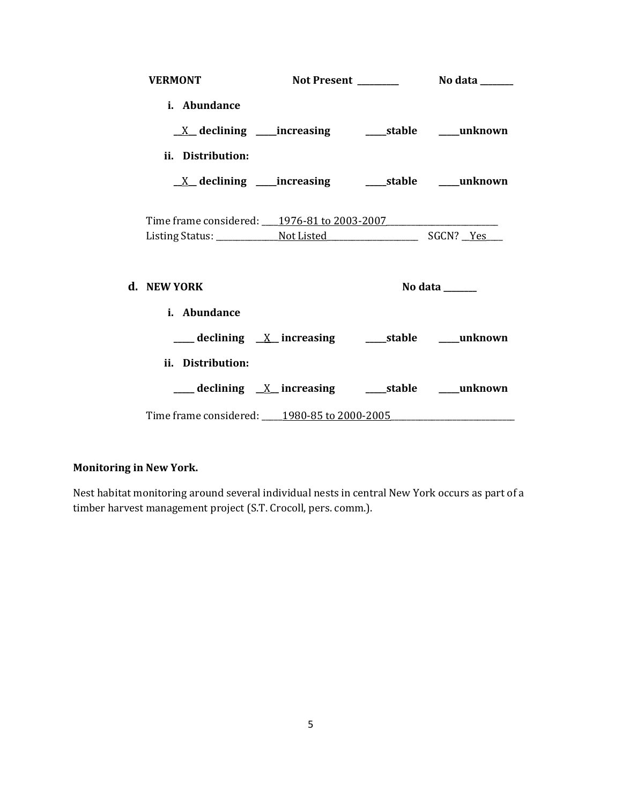| <b>VERMONT</b>                              |                                                                         |                |
|---------------------------------------------|-------------------------------------------------------------------------|----------------|
| i. Abundance                                |                                                                         |                |
|                                             |                                                                         |                |
| ii. Distribution:                           |                                                                         |                |
|                                             | $\underline{X}$ declining ____increasing __________stable ______unknown |                |
| Time frame considered: 1976-81 to 2003-2007 |                                                                         |                |
|                                             |                                                                         |                |
|                                             |                                                                         |                |
| d. NEW YORK                                 |                                                                         | No data ______ |
| i. Abundance                                |                                                                         |                |
|                                             |                                                                         |                |
| ii. Distribution:                           |                                                                         |                |
|                                             |                                                                         |                |
|                                             | Time frame considered: _____ 1980-85 to 2000-2005                       |                |

# **Monitoring in New York.**

Nest habitat monitoring around several individual nests in central New York occurs as part of a timber harvest management project (S.T. Crocoll, pers. comm.).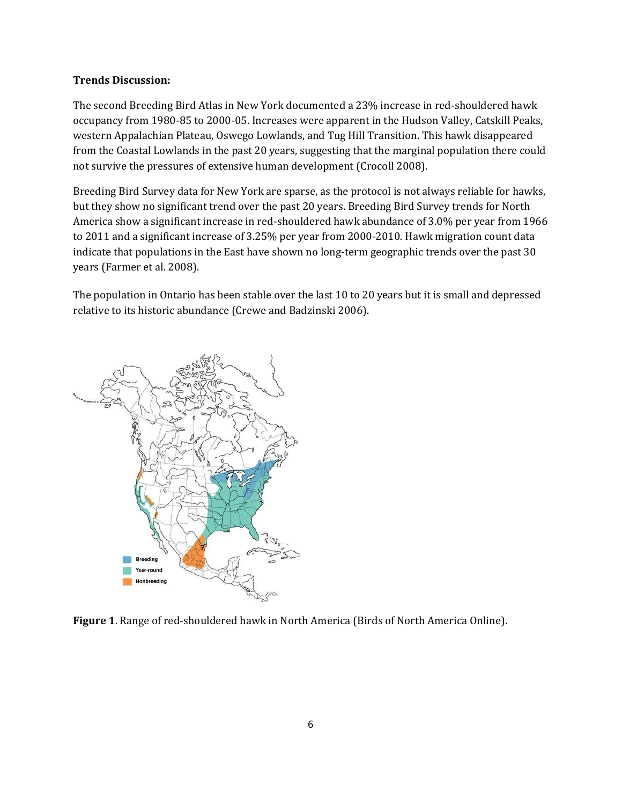## **Trends Discussion:**

The second Breeding Bird Atlas in New York documented a 23% increase in red-shouldered hawk occupancy from 1980-85 to 2000-05. Increases were apparent in the Hudson Valley, Catskill Peaks, western Appalachian Plateau, Oswego Lowlands, and Tug Hill Transition. This hawk disappeared from the Coastal Lowlands in the past 20 years, suggesting that the marginal population there could not survive the pressures of extensive human development (Crocoll 2008).

Breeding Bird Survey data for New York are sparse, as the protocol is not always reliable for hawks, but they show no significant trend over the past 20 years. Breeding Bird Survey trends for North America show a significant increase in red-shouldered hawk abundance of 3.0% per year from 1966 to 2011 and a significant increase of 3.25% per year from 2000-2010. Hawk migration count data indicate that populations in the East have shown no long-term geographic trends over the past 30 years (Farmer et al. 2008).

The population in Ontario has been stable over the last 10 to 20 years but it is small and depressed relative to its historic abundance (Crewe and Badzinski 2006).



**Figure 1**. Range of red-shouldered hawk in North America (Birds of North America Online).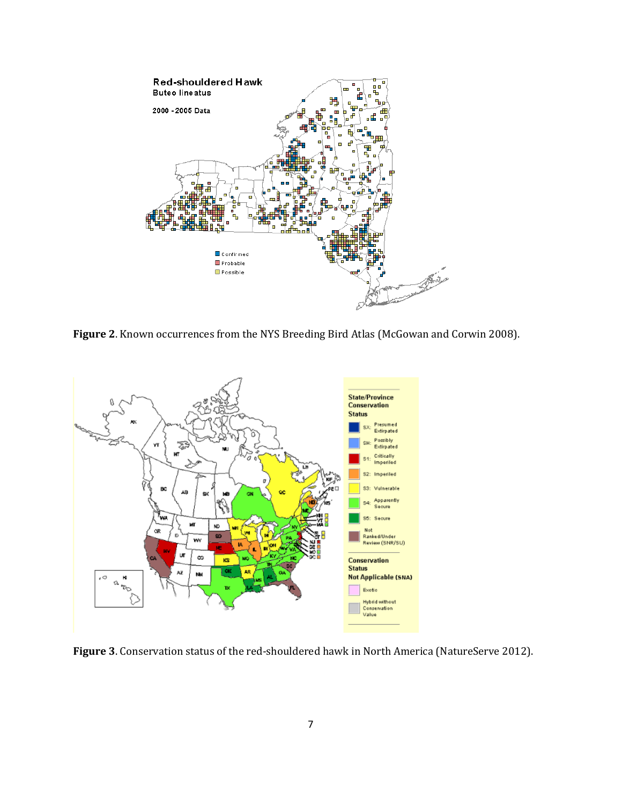

**Figure 2**. Known occurrences from the NYS Breeding Bird Atlas (McGowan and Corwin 2008).



**Figure 3**. Conservation status of the red-shouldered hawk in North America (NatureServe 2012).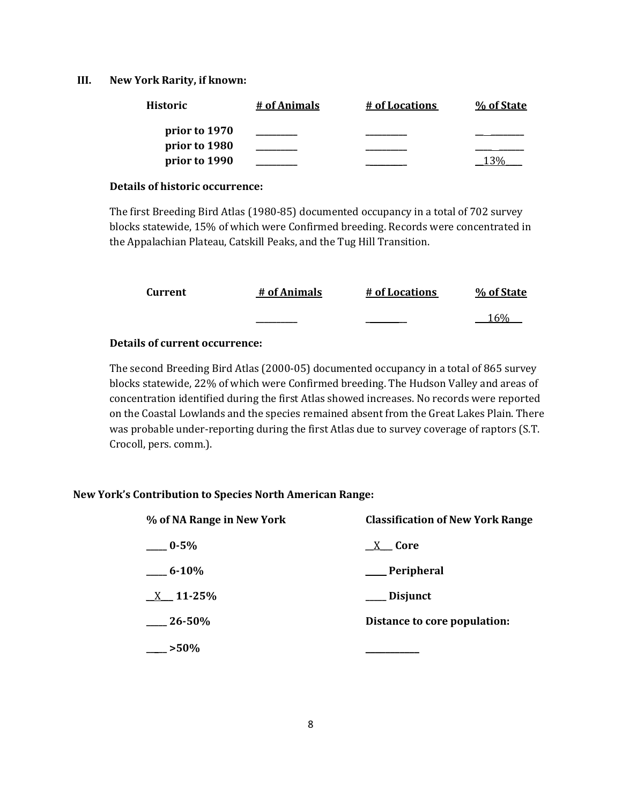#### **III. New York Rarity, if known:**

| <b>Historic</b> | # of Animals | # of Locations | % of State |
|-----------------|--------------|----------------|------------|
| prior to 1970   |              |                |            |
| prior to 1980   |              |                |            |
| prior to 1990   |              |                |            |

#### **Details of historic occurrence:**

The first Breeding Bird Atlas (1980-85) documented occupancy in a total of 702 survey blocks statewide, 15% of which were Confirmed breeding. Records were concentrated in the Appalachian Plateau, Catskill Peaks, and the Tug Hill Transition.

| Current | # of Animals | # of Locations | % of State |
|---------|--------------|----------------|------------|
|         | ________     |                | 1604       |

#### **Details of current occurrence:**

The second Breeding Bird Atlas (2000-05) documented occupancy in a total of 865 survey blocks statewide, 22% of which were Confirmed breeding. The Hudson Valley and areas of concentration identified during the first Atlas showed increases. No records were reported on the Coastal Lowlands and the species remained absent from the Great Lakes Plain. There was probable under-reporting during the first Atlas due to survey coverage of raptors (S.T. Crocoll, pers. comm.).

## **New York's Contribution to Species North American Range:**

| % of NA Range in New York | <b>Classification of New York Range</b> |
|---------------------------|-----------------------------------------|
| $-0.5\%$                  | X Core                                  |
| $-6.10\%$                 | __ Peripheral                           |
| $X = 11 - 25\%$           | ___ Disjunct                            |
| $26 - 50\%$               | Distance to core population:            |
| $-250%$                   |                                         |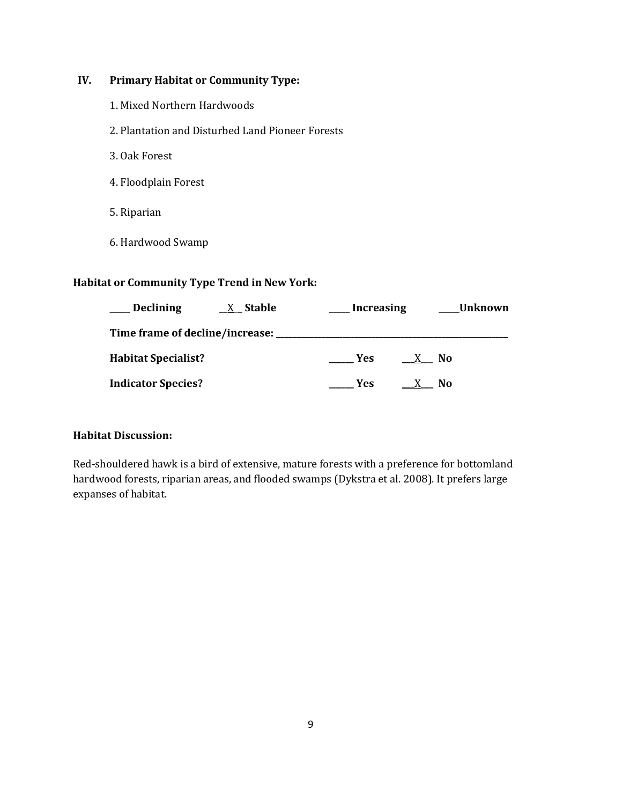# **IV. Primary Habitat or Community Type:**

- 1. Mixed Northern Hardwoods
- 2. Plantation and Disturbed Land Pioneer Forests
- 3. Oak Forest
- 4. Floodplain Forest
- 5. Riparian
- 6. Hardwood Swamp

#### **Habitat or Community Type Trend in New York:**

| <b>Declining</b>           | $X_{\mathsf{A}}$ Stable                 | <b>Increasing</b> |                      | Unknown |
|----------------------------|-----------------------------------------|-------------------|----------------------|---------|
|                            | Time frame of decline/increase: _______ |                   |                      |         |
| <b>Habitat Specialist?</b> |                                         | Yes               | - No<br>$\mathsf{X}$ |         |
| <b>Indicator Species?</b>  |                                         | Yes               | N <sub>0</sub>       |         |

#### **Habitat Discussion:**

Red-shouldered hawk is a bird of extensive, mature forests with a preference for bottomland hardwood forests, riparian areas, and flooded swamps (Dykstra et al. 2008). It prefers large expanses of habitat.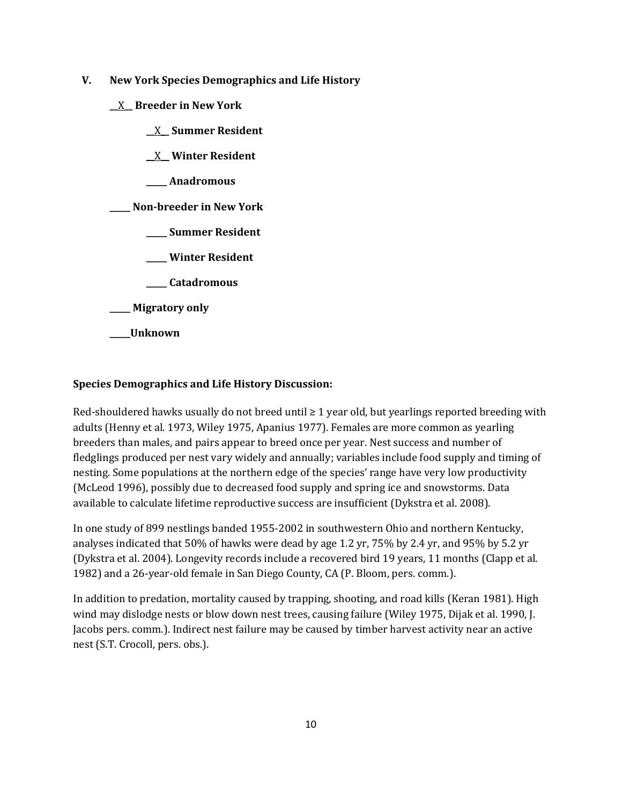- **V. New York Species Demographics and Life History**
	- **\_\_**X**\_\_ Breeder in New York**
		- **\_\_**X**\_\_ Summer Resident**

**\_\_**X**\_\_ Winter Resident**

**\_\_\_\_\_ Anadromous**

**\_\_\_\_\_ Non-breeder in New York**

- **\_\_\_\_\_ Summer Resident**
- **\_\_\_\_\_ Winter Resident**
- **\_\_\_\_\_ Catadromous**
- **\_\_\_\_\_ Migratory only**
- **\_\_\_\_\_Unknown**

# **Species Demographics and Life History Discussion:**

Red-shouldered hawks usually do not breed until  $\geq 1$  year old, but yearlings reported breeding with adults (Henny et al. 1973, Wiley 1975, Apanius 1977). Females are more common as yearling breeders than males, and pairs appear to breed once per year. Nest success and number of fledglings produced per nest vary widely and annually; variables include food supply and timing of nesting. Some populations at the northern edge of the species' range have very low productivity (McLeod 1996), possibly due to decreased food supply and spring ice and snowstorms. Data available to calculate lifetime reproductive success are insufficient (Dykstra et al. 2008).

In one study of 899 nestlings banded 1955-2002 in southwestern Ohio and northern Kentucky, analyses indicated that 50% of hawks were dead by age 1.2 yr, 75% by 2.4 yr, and 95% by 5.2 yr (Dykstra et al. 2004). Longevity records include a recovered bird 19 years, 11 months (Clapp et al. 1982) and a 26-year-old female in San Diego County, CA (P. Bloom, pers. comm.).

In addition to predation, mortality caused by trapping, shooting, and road kills (Keran 1981). High wind may dislodge nests or blow down nest trees, causing failure (Wiley 1975, Dijak et al. 1990, J. Jacobs pers. comm.). Indirect nest failure may be caused by timber harvest activity near an active nest (S.T. Crocoll, pers. obs.).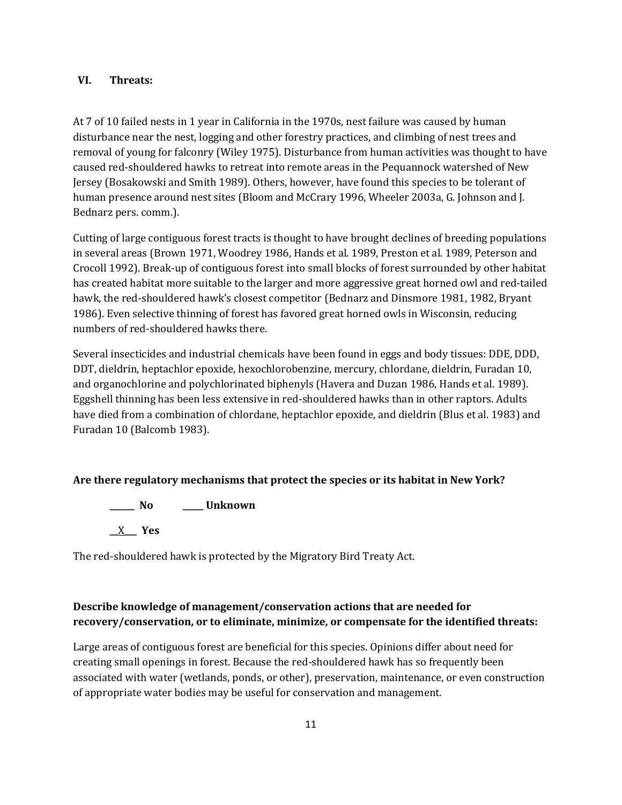#### **VI. Threats:**

At 7 of 10 failed nests in 1 year in California in the 1970s, nest failure was caused by human disturbance near the nest, logging and other forestry practices, and climbing of nest trees and removal of young for falconry (Wiley 1975). Disturbance from human activities was thought to have caused red-shouldered hawks to retreat into remote areas in the Pequannock watershed of New Jersey (Bosakowski and Smith 1989). Others, however, have found this species to be tolerant of human presence around nest sites (Bloom and McCrary 1996, Wheeler 2003a, G. Johnson and J. Bednarz pers. comm.).

Cutting of large contiguous forest tracts is thought to have brought declines of breeding populations in several areas (Brown 1971, Woodrey 1986, Hands et al. 1989, Preston et al. 1989, Peterson and Crocoll 1992). Break-up of contiguous forest into small blocks of forest surrounded by other habitat has created habitat more suitable to the larger and more aggressive great horned owl and red-tailed hawk, the red-shouldered hawk's closest competitor (Bednarz and Dinsmore 1981, 1982, Bryant 1986). Even selective thinning of forest has favored great horned owls in Wisconsin, reducing numbers of red-shouldered hawks there.

Several insecticides and industrial chemicals have been found in eggs and body tissues: DDE, DDD, DDT, dieldrin, heptachlor epoxide, hexochlorobenzine, mercury, chlordane, dieldrin, Furadan 10, and organochlorine and polychlorinated biphenyls (Havera and Duzan 1986, Hands et al. 1989). Eggshell thinning has been less extensive in red-shouldered hawks than in other raptors. Adults have died from a combination of chlordane, heptachlor epoxide, and dieldrin (Blus et al. 1983) and Furadan 10 (Balcomb 1983).

## **Are there regulatory mechanisms that protect the species or its habitat in New York?**

**\_\_\_\_\_\_ No \_\_\_\_\_ Unknown \_\_**X**\_\_\_ Yes** 

The red-shouldered hawk is protected by the Migratory Bird Treaty Act.

# **Describe knowledge of management/conservation actions that are needed for recovery/conservation, or to eliminate, minimize, or compensate for the identified threats:**

Large areas of contiguous forest are beneficial for this species. Opinions differ about need for creating small openings in forest. Because the red-shouldered hawk has so frequently been associated with water (wetlands, ponds, or other), preservation, maintenance, or even construction of appropriate water bodies may be useful for conservation and management.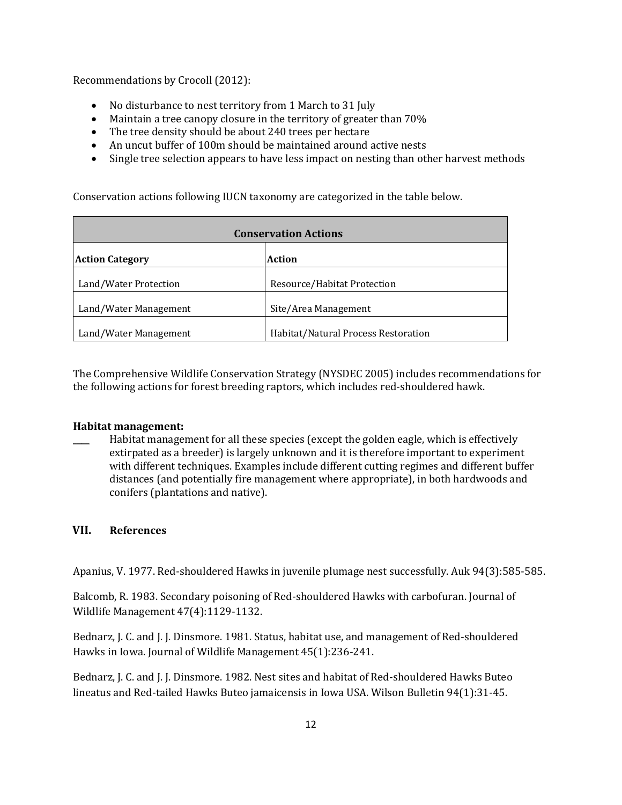Recommendations by Crocoll (2012):

- No disturbance to nest territory from 1 March to 31 July
- Maintain a tree canopy closure in the territory of greater than 70%
- The tree density should be about 240 trees per hectare
- An uncut buffer of 100m should be maintained around active nests
- Single tree selection appears to have less impact on nesting than other harvest methods

Conservation actions following IUCN taxonomy are categorized in the table below.

| <b>Conservation Actions</b>      |                                     |  |
|----------------------------------|-------------------------------------|--|
| <b>Action Category</b><br>Action |                                     |  |
| Land/Water Protection            | Resource/Habitat Protection         |  |
| Land/Water Management            | Site/Area Management                |  |
| Land/Water Management            | Habitat/Natural Process Restoration |  |

The Comprehensive Wildlife Conservation Strategy (NYSDEC 2005) includes recommendations for the following actions for forest breeding raptors, which includes red-shouldered hawk.

#### **Habitat management:**

Habitat management for all these species (except the golden eagle, which is effectively extirpated as a breeder) is largely unknown and it is therefore important to experiment with different techniques. Examples include different cutting regimes and different buffer distances (and potentially fire management where appropriate), in both hardwoods and conifers (plantations and native).

## **VII. References**

Apanius, V. 1977. Red-shouldered Hawks in juvenile plumage nest successfully. Auk 94(3):585-585.

Balcomb, R. 1983. Secondary poisoning of Red-shouldered Hawks with carbofuran. Journal of Wildlife Management 47(4):1129-1132.

Bednarz, J. C. and J. J. Dinsmore. 1981. Status, habitat use, and management of Red-shouldered Hawks in Iowa. Journal of Wildlife Management 45(1):236-241.

Bednarz, J. C. and J. J. Dinsmore. 1982. Nest sites and habitat of Red-shouldered Hawks Buteo lineatus and Red-tailed Hawks Buteo jamaicensis in Iowa USA. Wilson Bulletin 94(1):31-45.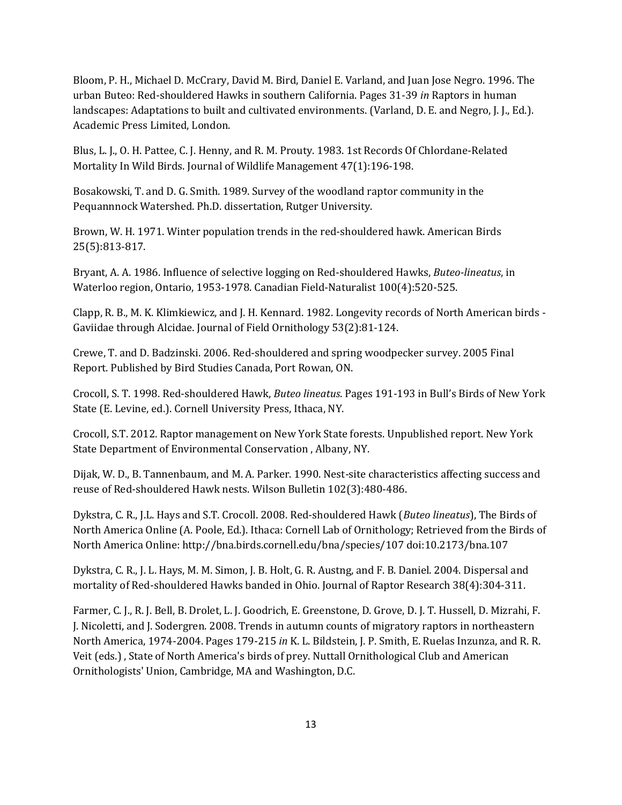Bloom, P. H., Michael D. McCrary, David M. Bird, Daniel E. Varland, and Juan Jose Negro. 1996. The urban Buteo: Red-shouldered Hawks in southern California. Pages 31-39 *in* Raptors in human landscapes: Adaptations to built and cultivated environments. (Varland, D. E. and Negro, J. J., Ed.). Academic Press Limited, London.

Blus, L. J., O. H. Pattee, C. J. Henny, and R. M. Prouty. 1983. 1st Records Of Chlordane-Related Mortality In Wild Birds. Journal of Wildlife Management 47(1):196-198.

Bosakowski, T. and D. G. Smith. 1989. Survey of the woodland raptor community in the Pequannnock Watershed. Ph.D. dissertation, Rutger University.

Brown, W. H. 1971. Winter population trends in the red-shouldered hawk. American Birds 25(5):813-817.

Bryant, A. A. 1986. Influence of selective logging on Red-shouldered Hawks, *Buteo-lineatus*, in Waterloo region, Ontario, 1953-1978. Canadian Field-Naturalist 100(4):520-525.

Clapp, R. B., M. K. Klimkiewicz, and J. H. Kennard. 1982. Longevity records of North American birds - Gaviidae through Alcidae. Journal of Field Ornithology 53(2):81-124.

Crewe, T. and D. Badzinski. 2006. Red-shouldered and spring woodpecker survey. 2005 Final Report. Published by Bird Studies Canada, Port Rowan, ON.

Crocoll, S. T. 1998. Red-shouldered Hawk, *Buteo lineatus*. Pages 191-193 in Bull's Birds of New York State (E. Levine, ed.). Cornell University Press, Ithaca, NY.

Crocoll, S.T. 2012. Raptor management on New York State forests. Unpublished report. New York State Department of Environmental Conservation , Albany, NY.

Dijak, W. D., B. Tannenbaum, and M. A. Parker. 1990. Nest-site characteristics affecting success and reuse of Red-shouldered Hawk nests. Wilson Bulletin 102(3):480-486.

Dykstra, C. R., J.L. Hays and S.T. Crocoll. 2008. Red-shouldered Hawk (*Buteo lineatus*), The Birds of North America Online (A. Poole, Ed.). Ithaca: Cornell Lab of Ornithology; Retrieved from the Birds of North America Online: http://bna.birds.cornell.edu/bna/species/107 doi:10.2173/bna.107

Dykstra, C. R., J. L. Hays, M. M. Simon, J. B. Holt, G. R. Austng, and F. B. Daniel. 2004. Dispersal and mortality of Red-shouldered Hawks banded in Ohio. Journal of Raptor Research 38(4):304-311.

Farmer, C. J., R. J. Bell, B. Drolet, L. J. Goodrich, E. Greenstone, D. Grove, D. J. T. Hussell, D. Mizrahi, F. J. Nicoletti, and J. Sodergren. 2008. Trends in autumn counts of migratory raptors in northeastern North America, 1974-2004. Pages 179-215 *in* K. L. Bildstein, J. P. Smith, E. Ruelas Inzunza, and R. R. Veit (eds.) , State of North America's birds of prey. Nuttall Ornithological Club and American Ornithologists' Union, Cambridge, MA and Washington, D.C.